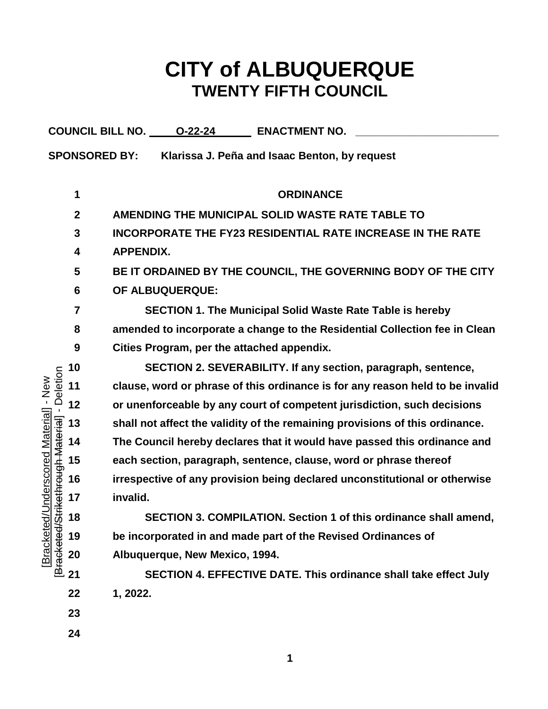# **CITY of ALBUQUERQUE TWENTY FIFTH COUNCIL**

|                                                                        |                      | COUNCIL BILL NO. 0-22-24<br><b>ENACTMENT NO.</b>                              |  |  |  |  |  |  |  |  |
|------------------------------------------------------------------------|----------------------|-------------------------------------------------------------------------------|--|--|--|--|--|--|--|--|
|                                                                        | <b>SPONSORED BY:</b> | Klarissa J. Peña and Isaac Benton, by request                                 |  |  |  |  |  |  |  |  |
|                                                                        |                      |                                                                               |  |  |  |  |  |  |  |  |
|                                                                        | 1                    | <b>ORDINANCE</b><br>AMENDING THE MUNICIPAL SOLID WASTE RATE TABLE TO          |  |  |  |  |  |  |  |  |
|                                                                        | $\mathbf{2}$         |                                                                               |  |  |  |  |  |  |  |  |
|                                                                        | 3                    | <b>INCORPORATE THE FY23 RESIDENTIAL RATE INCREASE IN THE RATE</b>             |  |  |  |  |  |  |  |  |
|                                                                        | 4                    | <b>APPENDIX.</b>                                                              |  |  |  |  |  |  |  |  |
|                                                                        | 5                    | BE IT ORDAINED BY THE COUNCIL, THE GOVERNING BODY OF THE CITY                 |  |  |  |  |  |  |  |  |
|                                                                        | 6                    | OF ALBUQUERQUE:                                                               |  |  |  |  |  |  |  |  |
|                                                                        | 7                    | <b>SECTION 1. The Municipal Solid Waste Rate Table is hereby</b>              |  |  |  |  |  |  |  |  |
|                                                                        | 8                    | amended to incorporate a change to the Residential Collection fee in Clean    |  |  |  |  |  |  |  |  |
|                                                                        | 9                    | Cities Program, per the attached appendix.                                    |  |  |  |  |  |  |  |  |
|                                                                        | 10                   | SECTION 2. SEVERABILITY. If any section, paragraph, sentence,                 |  |  |  |  |  |  |  |  |
| Deletion<br>$l - New$                                                  | 11                   | clause, word or phrase of this ordinance is for any reason held to be invalid |  |  |  |  |  |  |  |  |
|                                                                        | 12                   | or unenforceable by any court of competent jurisdiction, such decisions       |  |  |  |  |  |  |  |  |
|                                                                        | 13                   | shall not affect the validity of the remaining provisions of this ordinance.  |  |  |  |  |  |  |  |  |
|                                                                        | 14                   | The Council hereby declares that it would have passed this ordinance and      |  |  |  |  |  |  |  |  |
|                                                                        | 15                   | each section, paragraph, sentence, clause, word or phrase thereof             |  |  |  |  |  |  |  |  |
| [Bracketed/Underscored Material]<br>[Bracketed/Strikethrough Material] | 16                   | irrespective of any provision being declared unconstitutional or otherwise    |  |  |  |  |  |  |  |  |
|                                                                        | 17                   | invalid.                                                                      |  |  |  |  |  |  |  |  |
|                                                                        | 18                   | SECTION 3. COMPILATION. Section 1 of this ordinance shall amend,              |  |  |  |  |  |  |  |  |
|                                                                        | 19                   | be incorporated in and made part of the Revised Ordinances of                 |  |  |  |  |  |  |  |  |
|                                                                        | 20                   | Albuquerque, New Mexico, 1994.                                                |  |  |  |  |  |  |  |  |
|                                                                        | 21                   | SECTION 4. EFFECTIVE DATE. This ordinance shall take effect July              |  |  |  |  |  |  |  |  |
|                                                                        | 22                   | 1, 2022.                                                                      |  |  |  |  |  |  |  |  |
|                                                                        | 23                   |                                                                               |  |  |  |  |  |  |  |  |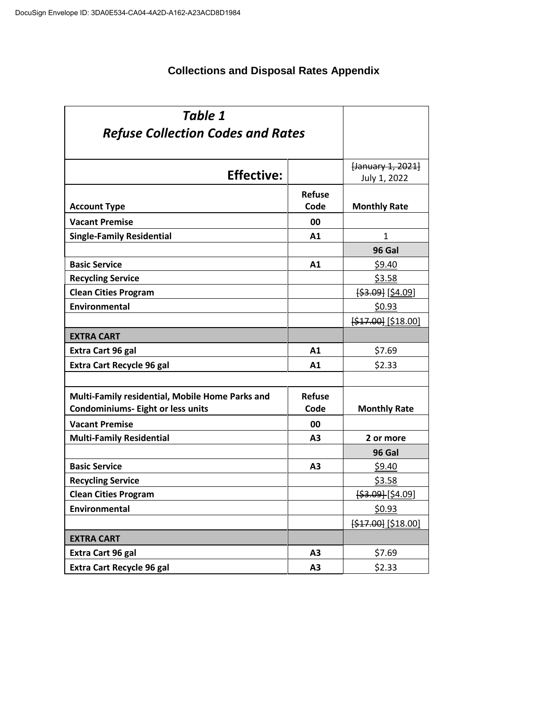### **Collections and Disposal Rates Appendix**

| <b>Table 1</b>                                  |                |                      |
|-------------------------------------------------|----------------|----------------------|
| <b>Refuse Collection Codes and Rates</b>        |                |                      |
|                                                 |                |                      |
|                                                 |                | [January 1, 2021]    |
| <b>Effective:</b>                               |                | July 1, 2022         |
|                                                 | <b>Refuse</b>  |                      |
| <b>Account Type</b>                             | Code           | <b>Monthly Rate</b>  |
| <b>Vacant Premise</b>                           | 00             |                      |
| <b>Single-Family Residential</b>                | A <sub>1</sub> | 1                    |
|                                                 |                | 96 Gal               |
| <b>Basic Service</b>                            | A1             | \$9.40               |
| <b>Recycling Service</b>                        |                | <u>\$3.58</u>        |
| <b>Clean Cities Program</b>                     |                | [\$3.09] [\$4.09]    |
| Environmental                                   |                | \$0.93               |
|                                                 |                | $[$47.00]$ [\$18.00] |
| <b>EXTRA CART</b>                               |                |                      |
| Extra Cart 96 gal                               | A1             | \$7.69               |
| <b>Extra Cart Recycle 96 gal</b>                | A1             | \$2.33               |
|                                                 |                |                      |
| Multi-Family residential, Mobile Home Parks and | <b>Refuse</b>  |                      |
| <b>Condominiums- Eight or less units</b>        | Code           | <b>Monthly Rate</b>  |
| <b>Vacant Premise</b>                           | 00             |                      |
| <b>Multi-Family Residential</b>                 | A <sub>3</sub> | 2 or more            |
|                                                 |                | 96 Gal               |
| <b>Basic Service</b>                            | A <sub>3</sub> | \$9.40               |
| <b>Recycling Service</b>                        |                | \$3.58               |
| <b>Clean Cities Program</b>                     |                | $[$ \$3.09] [\$4.09] |
| Environmental                                   |                | \$0.93               |
|                                                 |                | [\$17.00] [\$18.00]  |
| <b>EXTRA CART</b>                               |                |                      |
| Extra Cart 96 gal                               | A3             | \$7.69               |
| <b>Extra Cart Recycle 96 gal</b>                | A <sub>3</sub> | \$2.33               |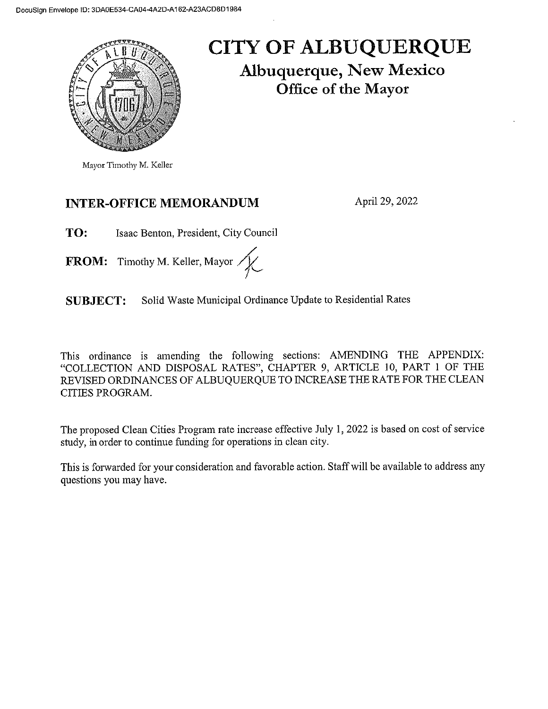

## CITY OF ALBUQUERQUE **Albuquerque, New Mexico** Office of the Mayor

#### **INTER-OFFICE MEMORANDUM**

April 29, 2022

TO: Isaac Benton, President, City Council

FROM: Timothy M. Keller, Mayor /

Solid Waste Municipal Ordinance Update to Residential Rates **SUBJECT:** 

This ordinance is amending the following sections: AMENDING THE APPENDIX: "COLLECTION AND DISPOSAL RATES", CHAPTER 9, ARTICLE 10, PART 1 OF THE REVISED ORDINANCES OF ALBUQUERQUE TO INCREASE THE RATE FOR THE CLEAN CITIES PROGRAM.

The proposed Clean Cities Program rate increase effective July 1, 2022 is based on cost of service study, in order to continue funding for operations in clean city.

This is forwarded for your consideration and favorable action. Staff will be available to address any questions you may have.

Mayor Timothy M. Keller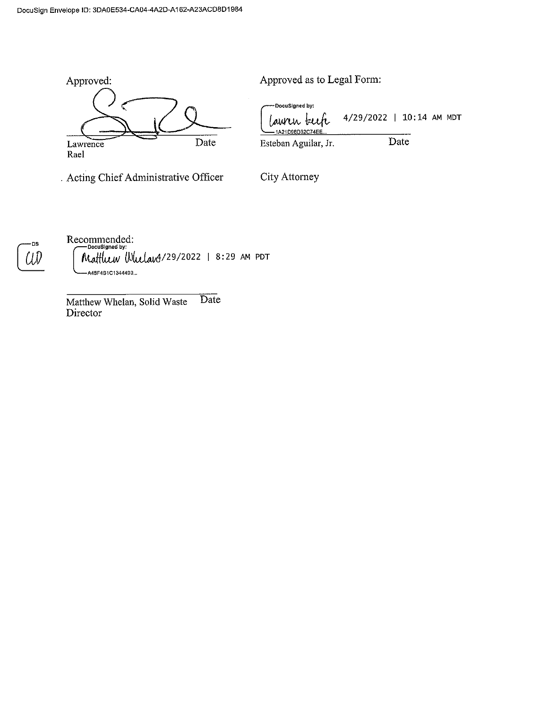

. Acting Chief Administrative Officer

Approved as to Legal Form:

DocuSigned by: 4/29/2022 | 10:14 AM MDT *La*urin <sup>I</sup> 1A21D96D32C74EE Date Esteban Aguilar, Jr.

City Attorney

Recommended: Matthew Whelang/29/2022 | 8:29 AM PDT A48F4B1C1344490...

Matthew Whelan, Solid Waste Date Director

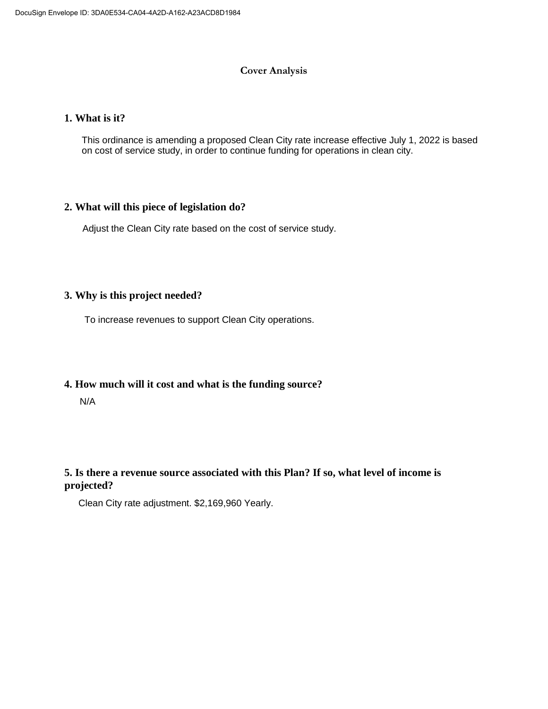#### **Cover Analysis**

#### **1. What is it?**

This ordinance is amending a proposed Clean City rate increase effective July 1, 2022 is based on cost of service study, in order to continue funding for operations in clean city.

#### **2. What will this piece of legislation do?**

Adjust the Clean City rate based on the cost of service study.

#### **3. Why is this project needed?**

To increase revenues to support Clean City operations.

#### **4. How much will it cost and what is the funding source?**

N/A

#### **5. Is there a revenue source associated with this Plan? If so, what level of income is projected?**

Clean City rate adjustment. \$2,169,960 Yearly.